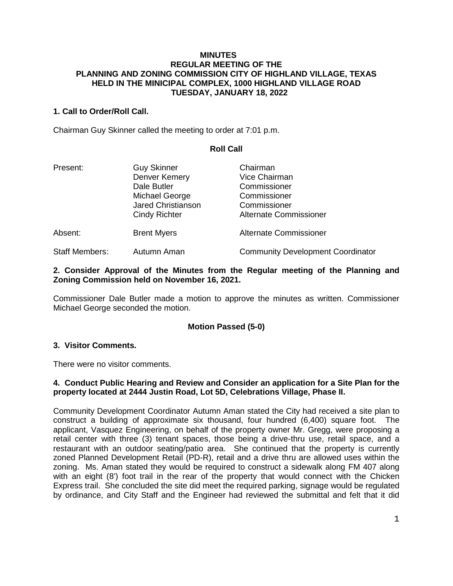#### **MINUTES REGULAR MEETING OF THE PLANNING AND ZONING COMMISSION CITY OF HIGHLAND VILLAGE, TEXAS HELD IN THE MINICIPAL COMPLEX, 1000 HIGHLAND VILLAGE ROAD TUESDAY, JANUARY 18, 2022**

# **1. Call to Order/Roll Call.**

Chairman Guy Skinner called the meeting to order at 7:01 p.m.

## **Roll Call**

| Present:              | <b>Guy Skinner</b>        | Chairman                                 |
|-----------------------|---------------------------|------------------------------------------|
|                       | Denver Kemery             | <b>Vice Chairman</b>                     |
|                       | Dale Butler               | Commissioner                             |
|                       | Michael George            | Commissioner                             |
|                       | <b>Jared Christianson</b> | Commissioner                             |
|                       | <b>Cindy Richter</b>      | <b>Alternate Commissioner</b>            |
| Absent:               | <b>Brent Myers</b>        | <b>Alternate Commissioner</b>            |
| <b>Staff Members:</b> | Autumn Aman               | <b>Community Development Coordinator</b> |

## **2. Consider Approval of the Minutes from the Regular meeting of the Planning and Zoning Commission held on November 16, 2021.**

Commissioner Dale Butler made a motion to approve the minutes as written. Commissioner Michael George seconded the motion.

# **Motion Passed (5-0)**

#### **3. Visitor Comments.**

There were no visitor comments.

## **4. Conduct Public Hearing and Review and Consider an application for a Site Plan for the property located at 2444 Justin Road, Lot 5D, Celebrations Village, Phase II.**

Community Development Coordinator Autumn Aman stated the City had received a site plan to construct a building of approximate six thousand, four hundred (6,400) square foot. The applicant, Vasquez Engineering, on behalf of the property owner Mr. Gregg, were proposing a retail center with three (3) tenant spaces, those being a drive-thru use, retail space, and a restaurant with an outdoor seating/patio area. She continued that the property is currently zoned Planned Development Retail (PD-R), retail and a drive thru are allowed uses within the zoning. Ms. Aman stated they would be required to construct a sidewalk along FM 407 along with an eight (8') foot trail in the rear of the property that would connect with the Chicken Express trail. She concluded the site did meet the required parking, signage would be regulated by ordinance, and City Staff and the Engineer had reviewed the submittal and felt that it did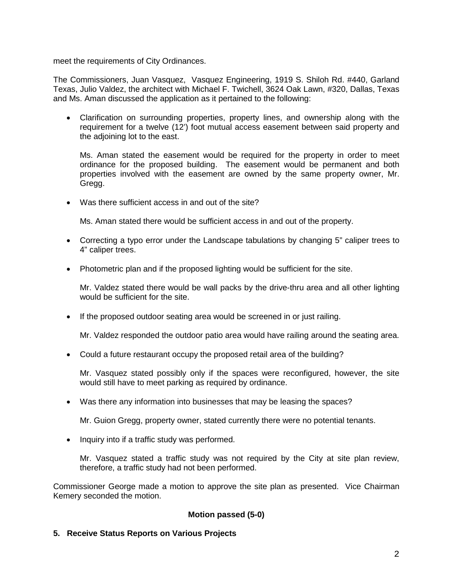meet the requirements of City Ordinances.

The Commissioners, Juan Vasquez, Vasquez Engineering, 1919 S. Shiloh Rd. #440, Garland Texas, Julio Valdez, the architect with Michael F. Twichell, 3624 Oak Lawn, #320, Dallas, Texas and Ms. Aman discussed the application as it pertained to the following:

• Clarification on surrounding properties, property lines, and ownership along with the requirement for a twelve (12') foot mutual access easement between said property and the adjoining lot to the east.

Ms. Aman stated the easement would be required for the property in order to meet ordinance for the proposed building. The easement would be permanent and both properties involved with the easement are owned by the same property owner, Mr. Gregg.

• Was there sufficient access in and out of the site?

Ms. Aman stated there would be sufficient access in and out of the property.

- Correcting a typo error under the Landscape tabulations by changing 5" caliper trees to 4" caliper trees.
- Photometric plan and if the proposed lighting would be sufficient for the site.

Mr. Valdez stated there would be wall packs by the drive-thru area and all other lighting would be sufficient for the site.

• If the proposed outdoor seating area would be screened in or just railing.

Mr. Valdez responded the outdoor patio area would have railing around the seating area.

• Could a future restaurant occupy the proposed retail area of the building?

Mr. Vasquez stated possibly only if the spaces were reconfigured, however, the site would still have to meet parking as required by ordinance.

• Was there any information into businesses that may be leasing the spaces?

Mr. Guion Gregg, property owner, stated currently there were no potential tenants.

• Inquiry into if a traffic study was performed.

Mr. Vasquez stated a traffic study was not required by the City at site plan review, therefore, a traffic study had not been performed.

Commissioner George made a motion to approve the site plan as presented. Vice Chairman Kemery seconded the motion.

#### **Motion passed (5-0)**

**5. Receive Status Reports on Various Projects**